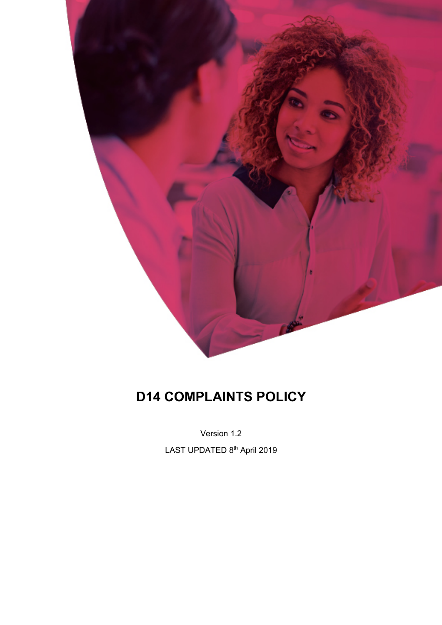

# **D14 COMPLAINTS POLICY**

Version 1.2

LAST UPDATED 8<sup>th</sup> April 2019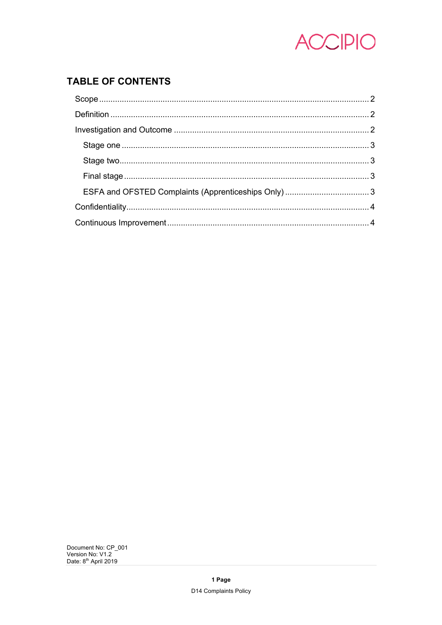

# **TABLE OF CONTENTS**

Document No: CP\_001<br>Version No: V1.2<br>Date: 8<sup>th</sup> April 2019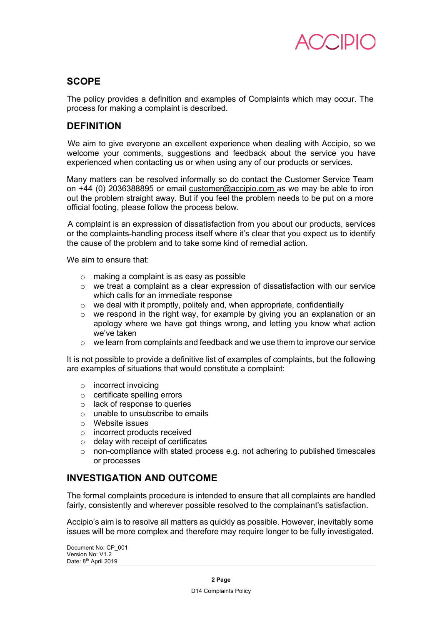

## **SCOPE**

The policy provides a definition and examples of Complaints which may occur. The process for making a complaint is described.

## **DEFINITION**

We aim to give everyone an excellent experience when dealing with Accipio, so we welcome your comments, suggestions and feedback about the service you have experienced when contacting us or when using any of our products or services.

Many matters can be resolved informally so do contact the Customer Service Team on +44 (0) 2036388895 or email customer@accipio.com as we may be able to iron out the problem straight away. But if you feel the problem needs to be put on a more official footing, please follow the process below.

A complaint is an expression of dissatisfaction from you about our products, services or the complaints-handling process itself where it's clear that you expect us to identify the cause of the problem and to take some kind of remedial action.

We aim to ensure that:

- o making a complaint is as easy as possible
- o we treat a complaint as a clear expression of dissatisfaction with our service which calls for an immediate response
- $\circ$  we deal with it promptly, politely and, when appropriate, confidentially
- $\circ$  we respond in the right way, for example by giving you an explanation or an apology where we have got things wrong, and letting you know what action we've taken
- o we learn from complaints and feedback and we use them to improve our service

It is not possible to provide a definitive list of examples of complaints, but the following are examples of situations that would constitute a complaint:

- o incorrect invoicing
- o certificate spelling errors
- o lack of response to queries
- o unable to unsubscribe to emails
- o Website issues
- o incorrect products received
- o delay with receipt of certificates
- $\circ$  non-compliance with stated process e.g. not adhering to published timescales or processes

## **INVESTIGATION AND OUTCOME**

The formal complaints procedure is intended to ensure that all complaints are handled fairly, consistently and wherever possible resolved to the complainant's satisfaction.

Accipio's aim is to resolve all matters as quickly as possible. However, inevitably some issues will be more complex and therefore may require longer to be fully investigated.

Document No: CP\_001 Version No: V1.2 Date: 8<sup>th</sup> April 2019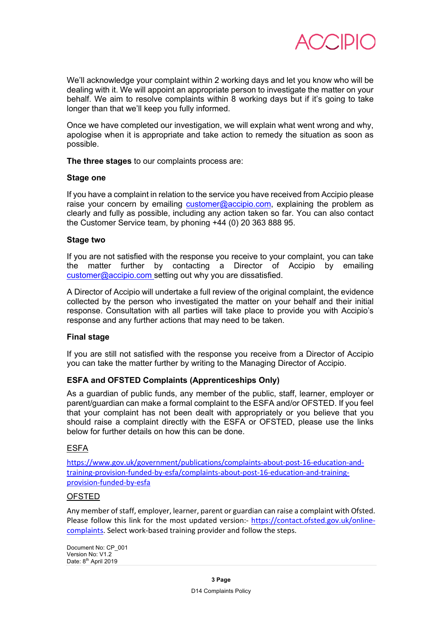

We'll acknowledge your complaint within 2 working days and let you know who will be dealing with it. We will appoint an appropriate person to investigate the matter on your behalf. We aim to resolve complaints within 8 working days but if it's going to take longer than that we'll keep you fully informed.

Once we have completed our investigation, we will explain what went wrong and why, apologise when it is appropriate and take action to remedy the situation as soon as possible.

**The three stages** to our complaints process are:

#### **Stage one**

If you have a complaint in relation to the service you have received from Accipio please raise your concern by emailing customer@accipio.com, explaining the problem as clearly and fully as possible, including any action taken so far. You can also contact the Customer Service team, by phoning +44 (0) 20 363 888 95.

#### **Stage two**

If you are not satisfied with the response you receive to your complaint, you can take the matter further by contacting a Director of Accipio by emailing customer@accipio.com setting out why you are dissatisfied.

A Director of Accipio will undertake a full review of the original complaint, the evidence collected by the person who investigated the matter on your behalf and their initial response. Consultation with all parties will take place to provide you with Accipio's response and any further actions that may need to be taken.

#### **Final stage**

If you are still not satisfied with the response you receive from a Director of Accipio you can take the matter further by writing to the Managing Director of Accipio.

#### **ESFA and OFSTED Complaints (Apprenticeships Only)**

As a guardian of public funds, any member of the public, staff, learner, employer or parent/guardian can make a formal complaint to the ESFA and/or OFSTED. If you feel that your complaint has not been dealt with appropriately or you believe that you should raise a complaint directly with the ESFA or OFSTED, please use the links below for further details on how this can be done.

#### ESFA

https://www.gov.uk/government/publications/complaints-about-post-16-education-andtraining-provision-funded-by-esfa/complaints-about-post-16-education-and-trainingprovision-funded-by-esfa

#### OFSTED

Any member of staff, employer, learner, parent or guardian can raise a complaint with Ofsted. Please follow this link for the most updated version:- https://contact.ofsted.gov.uk/onlinecomplaints. Select work-based training provider and follow the steps.

Document No: CP\_001 Version No: V1.2 Date: 8<sup>th</sup> April 2019